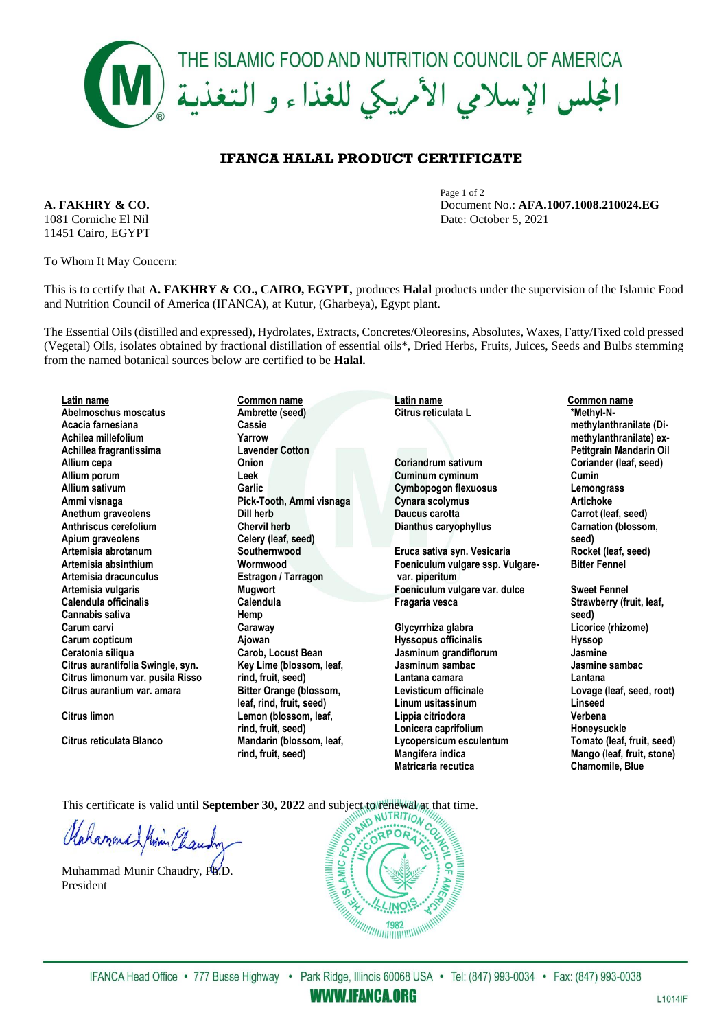

## **IFANCA HALAL PRODUCT CERTIFICATE**

1081 Corniche El Nil Date: October 5, 2021 11451 Cairo, EGYPT

To Whom It May Concern:

Page 1 of 2 **A. FAKHRY & CO.** Document No.: **AFA.1007.1008.210024.EG**

This is to certify that **A. FAKHRY & CO., CAIRO, EGYPT,** produces **Halal** products under the supervision of the Islamic Food and Nutrition Council of America (IFANCA), at Kutur, (Gharbeya), Egypt plant.

The Essential Oils (distilled and expressed), Hydrolates, Extracts, Concretes/Oleoresins, Absolutes, Waxes, Fatty/Fixed cold pressed (Vegetal) Oils, isolates obtained by fractional distillation of essential oils\*, Dried Herbs, Fruits, Juices, Seeds and Bulbs stemming from the named botanical sources below are certified to be **Halal.**

| Latin name                        | Common name                    | Latin name                       | Common name                |
|-----------------------------------|--------------------------------|----------------------------------|----------------------------|
| Abelmoschus moscatus              | Ambrette (seed)                | Citrus reticulata L              | *Methyl-N-                 |
| Acacia farnesiana                 | Cassie                         |                                  | methylanthranilate (Di-    |
| Achilea millefolium               | Yarrow                         |                                  | methylanthranilate) ex-    |
| Achillea fragrantissima           | <b>Lavender Cotton</b>         |                                  | Petitgrain Mandarin Oil    |
| Allium cepa                       | Onion                          | <b>Coriandrum sativum</b>        | Coriander (leaf, seed)     |
| Allium porum                      | Leek                           | Cuminum cyminum                  | Cumin                      |
| Allium sativum                    | Garlic                         | <b>Cymbopogon flexuosus</b>      | Lemongrass                 |
| Ammi visnaga                      | Pick-Tooth, Ammi visnaga       | Cynara scolymus                  | <b>Artichoke</b>           |
| Anethum graveolens                | Dill herb                      | Daucus carotta                   | Carrot (leaf, seed)        |
| Anthriscus cerefolium             | <b>Chervil herb</b>            | Dianthus caryophyllus            | Carnation (blossom,        |
| Apium graveolens                  | Celery (leaf, seed)            |                                  | seed)                      |
| Artemisia abrotanum               | Southernwood                   | Eruca sativa syn. Vesicaria      | Rocket (leaf, seed)        |
| Artemisia absinthium              | Wormwood                       | Foeniculum vulgare ssp. Vulgare- | <b>Bitter Fennel</b>       |
| Artemisia dracunculus             | Estragon / Tarragon            | var. piperitum                   |                            |
| Artemisia vulgaris                | <b>Mugwort</b>                 | Foeniculum vulgare var. dulce    | <b>Sweet Fennel</b>        |
| Calendula officinalis             | Calendula                      | Fragaria vesca                   | Strawberry (fruit, leaf,   |
| Cannabis sativa                   | Hemp                           |                                  | seed)                      |
| Carum carvi                       | Caraway                        | Glycyrrhiza glabra               | Licorice (rhizome)         |
| Carum copticum                    | Ajowan                         | <b>Hyssopus officinalis</b>      | <b>Hyssop</b>              |
| Ceratonia siliqua                 | <b>Carob, Locust Bean</b>      | Jasminum grandiflorum            | Jasmine                    |
| Citrus aurantifolia Swingle, syn. | Key Lime (blossom, leaf,       | Jasminum sambac                  | Jasmine sambac             |
| Citrus limonum var. pusila Risso  | rind, fruit, seed)             | Lantana camara                   | Lantana                    |
| Citrus aurantium var. amara       | <b>Bitter Orange (blossom,</b> | Levisticum officinale            | Lovage (leaf, seed, root)  |
|                                   | leaf, rind, fruit, seed)       | Linum usitassinum                | Linseed                    |
| Citrus limon                      | Lemon (blossom, leaf,          | Lippia citriodora                | Verbena                    |
|                                   | rind, fruit, seed)             | Lonicera caprifolium             | Honeysuckle                |
| Citrus reticulata Blanco          | Mandarin (blossom, leaf,       | Lycopersicum esculentum          | Tomato (leaf, fruit, seed) |
|                                   | rind, fruit, seed)             | Mangifera indica                 | Mango (leaf, fruit, stone) |
|                                   |                                | Matricaria recutica              | <b>Chamomile, Blue</b>     |

This certificate is valid until **September 30, 2022** and subject to renewal at time.<br> $\iint_R \iint_R$ 

Mahammad Minin Chau

Muhammad Munir Chaudry, Ph.D. President



**WWW.IFANCA.ORG**